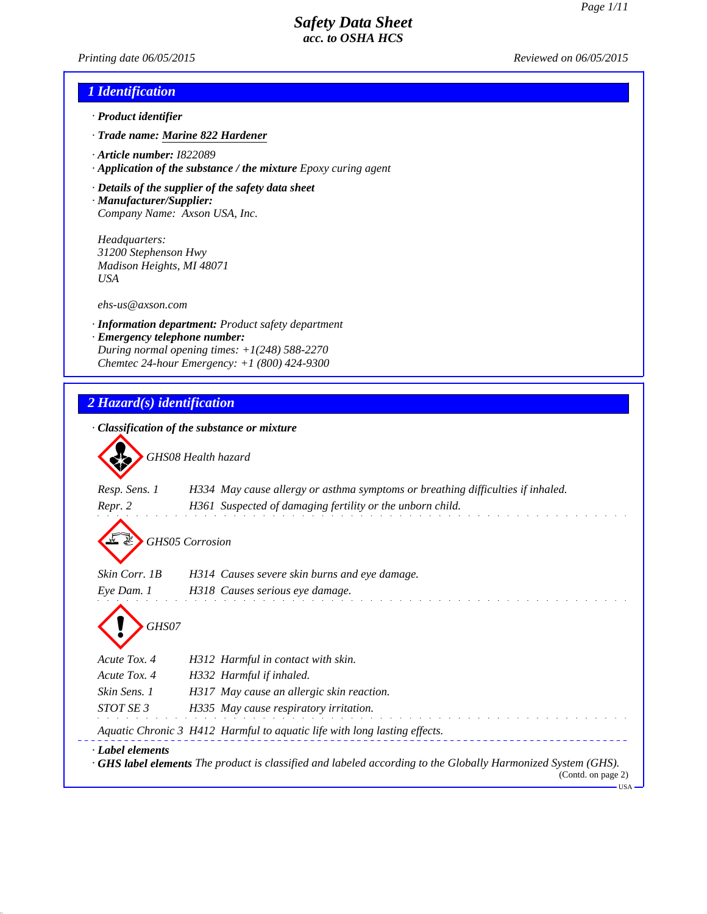*Printing date 06/05/2015 Reviewed on 06/05/2015*

### *1 Identification*

- *· Product identifier*
- *· Trade name: Marine 822 Hardener*
- *· Article number: I822089*
- *· Application of the substance / the mixture Epoxy curing agent*
- *· Details of the supplier of the safety data sheet · Manufacturer/Supplier:*
- *Company Name: Axson USA, Inc.*

*Headquarters: 31200 Stephenson Hwy Madison Heights, MI 48071 USA*

*ehs-us@axson.com*

- *· Information department: Product safety department*
- *· Emergency telephone number: During normal opening times: +1(248) 588-2270 Chemtec 24-hour Emergency: +1 (800) 424-9300*

### *2 Hazard(s) identification*

|                                              | GHS08 Health hazard                                                             |
|----------------------------------------------|---------------------------------------------------------------------------------|
| Resp. Sens. 1                                | H334 May cause allergy or asthma symptoms or breathing difficulties if inhaled. |
| Repr. 2                                      | H361 Suspected of damaging fertility or the unborn child.                       |
|                                              | <b>GHS05 Corrosion</b>                                                          |
| Skin Corr. 1B                                | H314 Causes severe skin burns and eye damage.                                   |
| Eye Dam. 1                                   | H318 Causes serious eye damage.                                                 |
|                                              |                                                                                 |
| GHS07                                        | H312 Harmful in contact with skin.                                              |
|                                              | H332 Harmful if inhaled.                                                        |
| Acute Tox. 4<br>Acute Tox. 4<br>Skin Sens. 1 | H317 May cause an allergic skin reaction.                                       |
| STOT SE 3                                    | H335 May cause respiratory irritation.                                          |
|                                              | Aquatic Chronic 3 H412 Harmful to aquatic life with long lasting effects.       |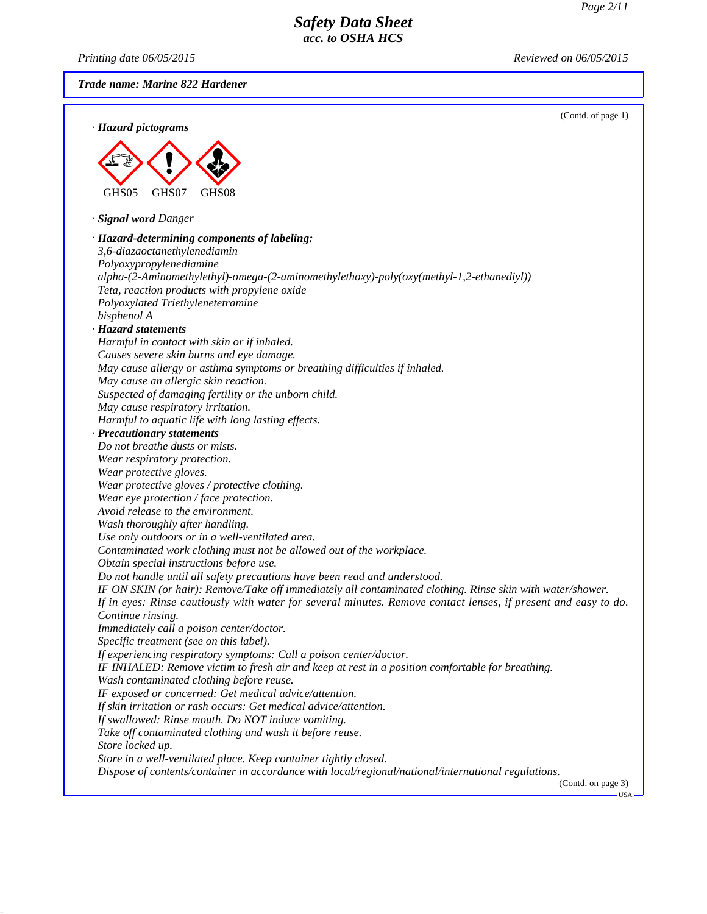*Printing date 06/05/2015 Reviewed on 06/05/2015*

*Trade name: Marine 822 Hardener*

|                                                                                                                | (Contd. of page 1)           |
|----------------------------------------------------------------------------------------------------------------|------------------------------|
| · Hazard pictograms                                                                                            |                              |
|                                                                                                                |                              |
|                                                                                                                |                              |
|                                                                                                                |                              |
|                                                                                                                |                              |
| GHS05<br>GHS07<br>GHS08                                                                                        |                              |
| · Signal word Danger                                                                                           |                              |
|                                                                                                                |                              |
| · Hazard-determining components of labeling:                                                                   |                              |
| 3,6-diazaoctanethylenediamin                                                                                   |                              |
| Polyoxypropylenediamine                                                                                        |                              |
| alpha-(2-Aminomethylethyl)-omega-(2-aminomethylethoxy)-poly(oxy(methyl-1,2-ethanediyl))                        |                              |
| Teta, reaction products with propylene oxide<br>Polyoxylated Triethylenetetramine                              |                              |
| bisphenol A                                                                                                    |                              |
| · Hazard statements                                                                                            |                              |
| Harmful in contact with skin or if inhaled.                                                                    |                              |
| Causes severe skin burns and eye damage.                                                                       |                              |
| May cause allergy or asthma symptoms or breathing difficulties if inhaled.                                     |                              |
| May cause an allergic skin reaction.                                                                           |                              |
| Suspected of damaging fertility or the unborn child.                                                           |                              |
| May cause respiratory irritation.                                                                              |                              |
| Harmful to aquatic life with long lasting effects.                                                             |                              |
| · Precautionary statements                                                                                     |                              |
| Do not breathe dusts or mists.                                                                                 |                              |
| Wear respiratory protection.                                                                                   |                              |
| Wear protective gloves.                                                                                        |                              |
| Wear protective gloves / protective clothing.                                                                  |                              |
| Wear eye protection / face protection.                                                                         |                              |
| Avoid release to the environment.                                                                              |                              |
| Wash thoroughly after handling.                                                                                |                              |
| Use only outdoors or in a well-ventilated area.                                                                |                              |
| Contaminated work clothing must not be allowed out of the workplace.                                           |                              |
| Obtain special instructions before use.                                                                        |                              |
| Do not handle until all safety precautions have been read and understood.                                      |                              |
| IF ON SKIN (or hair): Remove/Take off immediately all contaminated clothing. Rinse skin with water/shower.     |                              |
| If in eyes: Rinse cautiously with water for several minutes. Remove contact lenses, if present and easy to do. |                              |
| Continue rinsing.                                                                                              |                              |
| Immediately call a poison center/doctor.                                                                       |                              |
| Specific treatment (see on this label).                                                                        |                              |
| If experiencing respiratory symptoms: Call a poison center/doctor.                                             |                              |
| IF INHALED: Remove victim to fresh air and keep at rest in a position comfortable for breathing.               |                              |
| Wash contaminated clothing before reuse.                                                                       |                              |
| IF exposed or concerned: Get medical advice/attention.                                                         |                              |
| If skin irritation or rash occurs: Get medical advice/attention.                                               |                              |
| If swallowed: Rinse mouth. Do NOT induce vomiting.                                                             |                              |
| Take off contaminated clothing and wash it before reuse.                                                       |                              |
| Store locked up.                                                                                               |                              |
| Store in a well-ventilated place. Keep container tightly closed.                                               |                              |
| Dispose of contents/container in accordance with local/regional/national/international regulations.            |                              |
|                                                                                                                | (Contd. on page 3)<br>$-USA$ |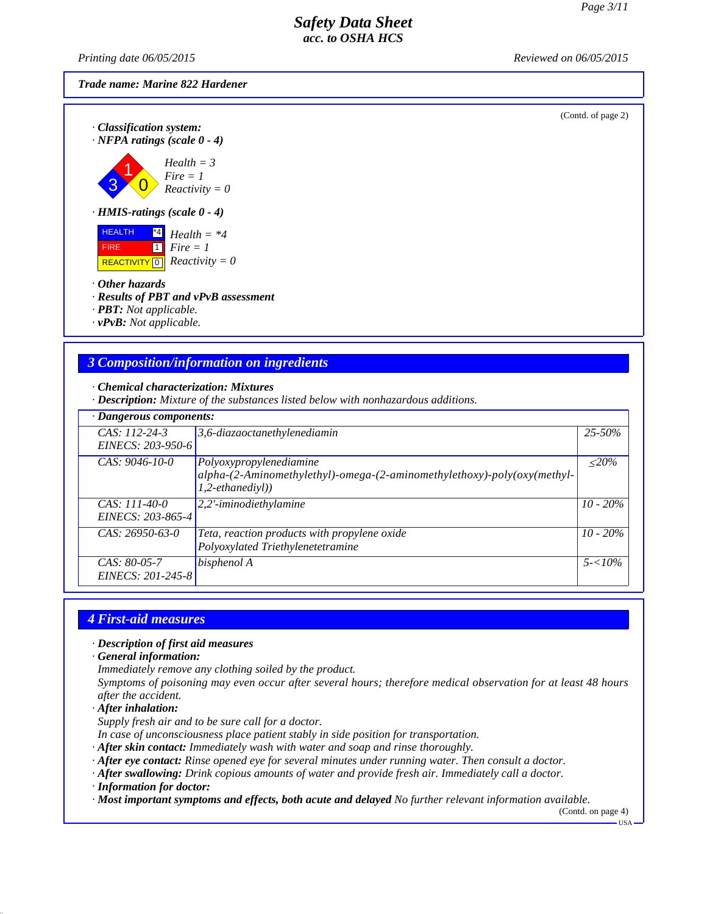*Printing date 06/05/2015 Reviewed on 06/05/2015*

#### *Trade name: Marine 822 Hardener*

(Contd. of page 2)

*· Classification system: · NFPA ratings (scale 0 - 4)*

3 1  $\overline{0}$ *Health = 3 Fire = 1 Reactivity = 0*

*· HMIS-ratings (scale 0 - 4)*

 HEALTH **FIRE**  $\overline{REACTIVITY \, 0}$  *Reactivity = 0* \*4 *Health = \*4* 1 *Fire = 1*

*· Other hazards*

*· Results of PBT and vPvB assessment*

*· PBT: Not applicable.*

*· vPvB: Not applicable.*

### *3 Composition/information on ingredients*

*· Chemical characterization: Mixtures*

*· Description: Mixture of the substances listed below with nonhazardous additions.*

| · Dangerous components:              |                                                                                                                            |             |  |
|--------------------------------------|----------------------------------------------------------------------------------------------------------------------------|-------------|--|
| $CAS: 112-24-3$<br>EINECS: 203-950-6 | $3,6$ -diazaoctanethylenediamin                                                                                            | $25 - 50\%$ |  |
| $CAS: 9046-10-0$                     | Polyoxypropylenediamine<br>alpha-(2-Aminomethylethyl)-omega-(2-aminomethylethoxy)-poly(oxy(methyl-<br>$1, 2-eth an edivl)$ | $\leq$ 20%  |  |
| CAS: 111-40-0<br>EINECS: 203-865-4   | 2,2'-iminodiethylamine                                                                                                     | $10 - 20\%$ |  |
| $CAS: 26950-63-0$                    | Teta, reaction products with propylene oxide<br>Polyoxylated Triethylenetetramine                                          | $10 - 20\%$ |  |
| CAS: 80-05-7<br>EINECS: 201-245-8    | bisphenol A                                                                                                                | $5 - 10\%$  |  |

#### *4 First-aid measures*

*· Description of first aid measures*

*· General information:*

*Immediately remove any clothing soiled by the product.*

*Symptoms of poisoning may even occur after several hours; therefore medical observation for at least 48 hours after the accident.*

*· After inhalation:*

*Supply fresh air and to be sure call for a doctor.*

*In case of unconsciousness place patient stably in side position for transportation.*

- *· After skin contact: Immediately wash with water and soap and rinse thoroughly.*
- *· After eye contact: Rinse opened eye for several minutes under running water. Then consult a doctor.*
- *· After swallowing: Drink copious amounts of water and provide fresh air. Immediately call a doctor.*
- *· Information for doctor:*

*· Most important symptoms and effects, both acute and delayed No further relevant information available.*

(Contd. on page 4)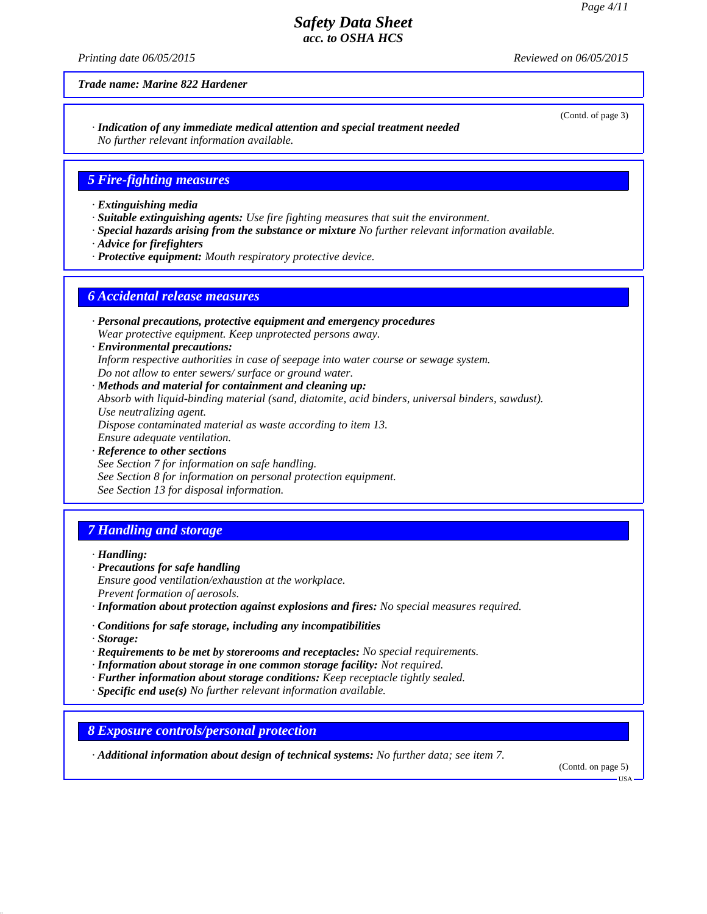*Printing date 06/05/2015 Reviewed on 06/05/2015*

*Trade name: Marine 822 Hardener*

*· Indication of any immediate medical attention and special treatment needed No further relevant information available.*

#### *5 Fire-fighting measures*

- *· Extinguishing media*
- *· Suitable extinguishing agents: Use fire fighting measures that suit the environment.*
- *· Special hazards arising from the substance or mixture No further relevant information available.*
- *· Advice for firefighters*
- *· Protective equipment: Mouth respiratory protective device.*

#### *6 Accidental release measures*

- *· Personal precautions, protective equipment and emergency procedures Wear protective equipment. Keep unprotected persons away.*
- *· Environmental precautions: Inform respective authorities in case of seepage into water course or sewage system. Do not allow to enter sewers/ surface or ground water.*

*· Methods and material for containment and cleaning up: Absorb with liquid-binding material (sand, diatomite, acid binders, universal binders, sawdust). Use neutralizing agent. Dispose contaminated material as waste according to item 13. Ensure adequate ventilation.*

*· Reference to other sections See Section 7 for information on safe handling. See Section 8 for information on personal protection equipment. See Section 13 for disposal information.*

# *7 Handling and storage*

*· Handling:*

*· Precautions for safe handling Ensure good ventilation/exhaustion at the workplace. Prevent formation of aerosols.*

*· Information about protection against explosions and fires: No special measures required.*

- *· Conditions for safe storage, including any incompatibilities*
- *· Storage:*
- *· Requirements to be met by storerooms and receptacles: No special requirements.*
- *· Information about storage in one common storage facility: Not required.*
- *· Further information about storage conditions: Keep receptacle tightly sealed.*
- *· Specific end use(s) No further relevant information available.*

*8 Exposure controls/personal protection*

*· Additional information about design of technical systems: No further data; see item 7.*

(Contd. on page 5)

(Contd. of page 3)

 $-<sub>USA</sub>$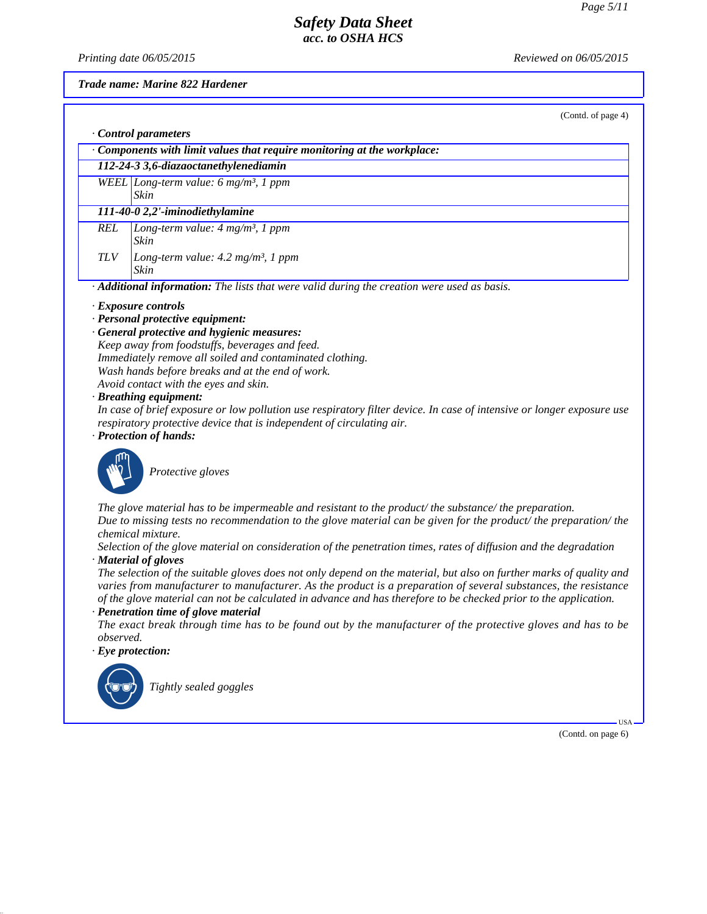*Printing date 06/05/2015 Reviewed on 06/05/2015*

#### *Trade name: Marine 822 Hardener*

(Contd. of page 4)

|                                                                                                          | Control parameters                                                     |  |  |  |
|----------------------------------------------------------------------------------------------------------|------------------------------------------------------------------------|--|--|--|
|                                                                                                          | Components with limit values that require monitoring at the workplace: |  |  |  |
|                                                                                                          | 112-24-3 3,6-diazaoctanethylenediamin                                  |  |  |  |
|                                                                                                          | WEEL Long-term value: 6 mg/m <sup>3</sup> , 1 ppm                      |  |  |  |
|                                                                                                          | <b>Skin</b>                                                            |  |  |  |
|                                                                                                          | 111-40-0 2,2'-iminodiethylamine                                        |  |  |  |
| <b>REL</b>                                                                                               | Long-term value: $4 mg/m^3$ , 1 ppm                                    |  |  |  |
|                                                                                                          | <b>Skin</b>                                                            |  |  |  |
| <b>TLV</b>                                                                                               | Long-term value: $4.2 \text{ mg/m}^3$ , 1 ppm                          |  |  |  |
|                                                                                                          | Skin                                                                   |  |  |  |
| $\cdot$ <b>Additional information:</b> The lists that were valid during the creation were used as basis. |                                                                        |  |  |  |
|                                                                                                          | $\cdot$ Exposure controls                                              |  |  |  |
|                                                                                                          | $\cdot$ Personal protective equipment:                                 |  |  |  |

*· General protective and hygienic measures:*

*Keep away from foodstuffs, beverages and feed. Immediately remove all soiled and contaminated clothing. Wash hands before breaks and at the end of work. Avoid contact with the eyes and skin.*

#### *· Breathing equipment:*

*In case of brief exposure or low pollution use respiratory filter device. In case of intensive or longer exposure use respiratory protective device that is independent of circulating air.*

*· Protection of hands:*



**Protective gloves** 

*The glove material has to be impermeable and resistant to the product/ the substance/ the preparation. Due to missing tests no recommendation to the glove material can be given for the product/ the preparation/ the chemical mixture.*

*Selection of the glove material on consideration of the penetration times, rates of diffusion and the degradation · Material of gloves*

*The selection of the suitable gloves does not only depend on the material, but also on further marks of quality and varies from manufacturer to manufacturer. As the product is a preparation of several substances, the resistance of the glove material can not be calculated in advance and has therefore to be checked prior to the application. · Penetration time of glove material*

*The exact break through time has to be found out by the manufacturer of the protective gloves and has to be observed.*

*· Eye protection:*



`R*Tightly sealed goggles*

(Contd. on page 6)

USA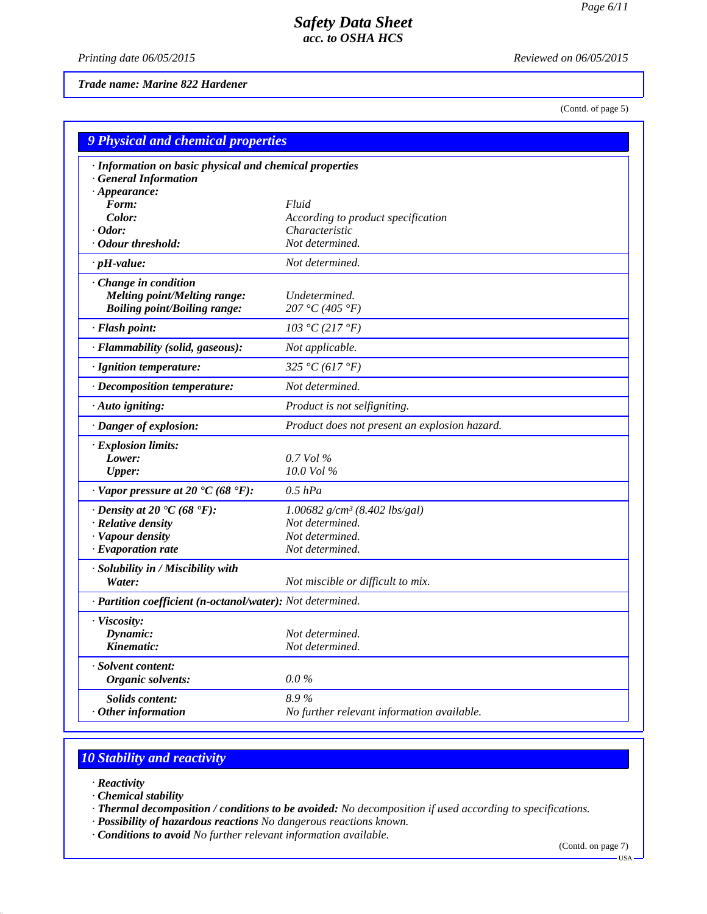*Printing date 06/05/2015 Reviewed on 06/05/2015*

*Trade name: Marine 822 Hardener*

(Contd. of page 5)

| <b>9 Physical and chemical properties</b>                    |                                                      |  |  |
|--------------------------------------------------------------|------------------------------------------------------|--|--|
| · Information on basic physical and chemical properties      |                                                      |  |  |
| · General Information                                        |                                                      |  |  |
| $\cdot$ Appearance:                                          |                                                      |  |  |
| Form:                                                        | Fluid                                                |  |  |
| Color:<br>$\cdot$ Odor:                                      | According to product specification<br>Characteristic |  |  |
| · Odour threshold:                                           | Not determined.                                      |  |  |
| $\cdot$ pH-value:                                            | Not determined.                                      |  |  |
|                                                              |                                                      |  |  |
| · Change in condition<br><b>Melting point/Melting range:</b> | Undetermined.                                        |  |  |
| <b>Boiling point/Boiling range:</b>                          | 207 °C (405 °F)                                      |  |  |
| · Flash point:                                               | 103 °C (217 °F)                                      |  |  |
| · Flammability (solid, gaseous):                             | Not applicable.                                      |  |  |
| · Ignition temperature:                                      | 325 °C (617 °F)                                      |  |  |
|                                                              | Not determined.                                      |  |  |
| · Decomposition temperature:                                 |                                                      |  |  |
| · Auto igniting:                                             | Product is not selfigniting.                         |  |  |
| · Danger of explosion:                                       | Product does not present an explosion hazard.        |  |  |
| · Explosion limits:                                          |                                                      |  |  |
| Lower:                                                       | $0.7$ Vol %                                          |  |  |
| <b>Upper:</b>                                                | $10.0$ Vol %                                         |  |  |
| $\cdot$ Vapor pressure at 20 °C (68 °F):                     | $0.5$ $hPa$                                          |  |  |
| $\cdot$ Density at 20 $\cdot$ C (68 $\cdot$ F):              | 1.00682 $g/cm^3$ (8.402 lbs/gal)                     |  |  |
| · Relative density                                           | Not determined.                                      |  |  |
| · Vapour density                                             | Not determined.                                      |  |  |
| $\cdot$ Evaporation rate                                     | Not determined.                                      |  |  |
| · Solubility in / Miscibility with                           |                                                      |  |  |
| Water:                                                       | Not miscible or difficult to mix.                    |  |  |
| · Partition coefficient (n-octanol/water): Not determined.   |                                                      |  |  |
| · Viscosity:                                                 |                                                      |  |  |
| Dynamic:                                                     | Not determined.                                      |  |  |
| Kinematic:                                                   | Not determined.                                      |  |  |
| · Solvent content:                                           |                                                      |  |  |
| Organic solvents:                                            | $0.0\%$                                              |  |  |
| Solids content:                                              | 8.9%                                                 |  |  |
| $\cdot$ Other information                                    | No further relevant information available.           |  |  |

# *10 Stability and reactivity*

- *· Reactivity*
- *· Chemical stability*
- *· Thermal decomposition / conditions to be avoided: No decomposition if used according to specifications.*
- *· Possibility of hazardous reactions No dangerous reactions known.*
- *· Conditions to avoid No further relevant information available.*

(Contd. on page 7)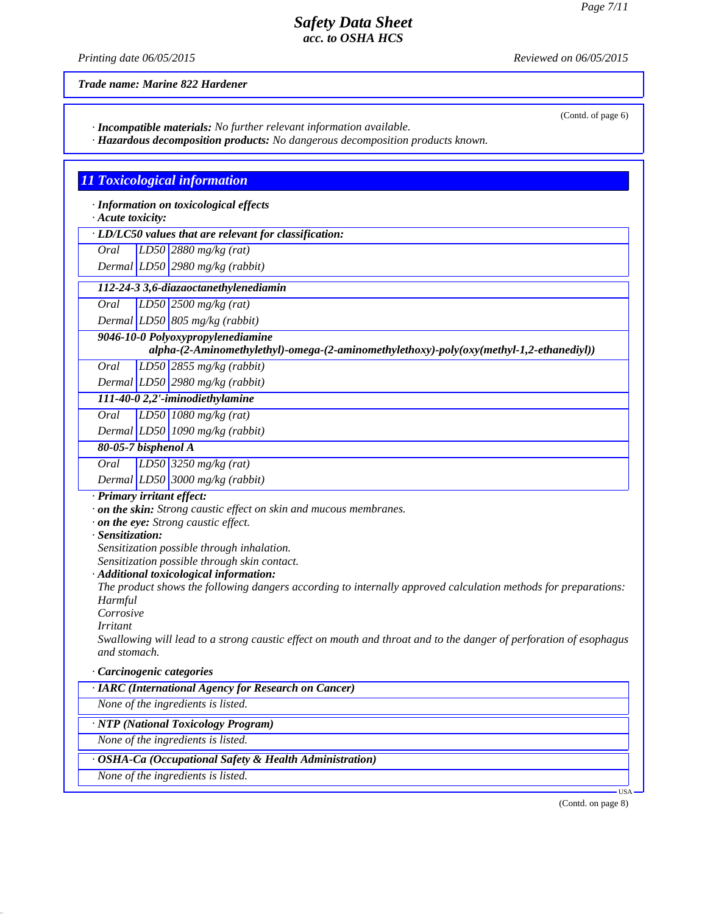(Contd. of page 6)

### *Safety Data Sheet acc. to OSHA HCS*

*Printing date 06/05/2015 Reviewed on 06/05/2015*

*Trade name: Marine 822 Hardener*

*· Incompatible materials: No further relevant information available.*

*· Hazardous decomposition products: No dangerous decomposition products known.*

# *11 Toxicological information*

*· Information on toxicological effects*

#### *· Acute toxicity:*

*· LD/LC50 values that are relevant for classification:*

*Oral LD50 2880 mg/kg (rat)*

*Dermal LD50 2980 mg/kg (rabbit)*

 *112-24-3 3,6-diazaoctanethylenediamin*

*Oral LD50 2500 mg/kg (rat)*

*Dermal LD50 805 mg/kg (rabbit)*

*9046-10-0 Polyoxypropylenediamine*

*alpha-(2-Aminomethylethyl)-omega-(2-aminomethylethoxy)-poly(oxy(methyl-1,2-ethanediyl))*

*Oral LD50 2855 mg/kg (rabbit)*

*Dermal LD50 2980 mg/kg (rabbit)*

*111-40-0 2,2'-iminodiethylamine Oral LD50 1080 mg/kg (rat)*

*Dermal LD50 1090 mg/kg (rabbit)*

### *80-05-7 bisphenol A*

*Oral LD50 3250 mg/kg (rat)*

*Dermal LD50 3000 mg/kg (rabbit)*

*· Primary irritant effect:*

*· on the skin: Strong caustic effect on skin and mucous membranes.*

*· on the eye: Strong caustic effect.*

#### *· Sensitization:*

*Sensitization possible through inhalation.*

*Sensitization possible through skin contact.*

*· Additional toxicological information:*

*The product shows the following dangers according to internally approved calculation methods for preparations: Harmful*

*Corrosive*

*Irritant*

*Swallowing will lead to a strong caustic effect on mouth and throat and to the danger of perforation of esophagus and stomach.*

*· Carcinogenic categories*

*· IARC (International Agency for Research on Cancer)*

*None of the ingredients is listed.*

*· NTP (National Toxicology Program)*

*None of the ingredients is listed.*

*· OSHA-Ca (Occupational Safety & Health Administration)*

*None of the ingredients is listed.*

(Contd. on page 8)

USA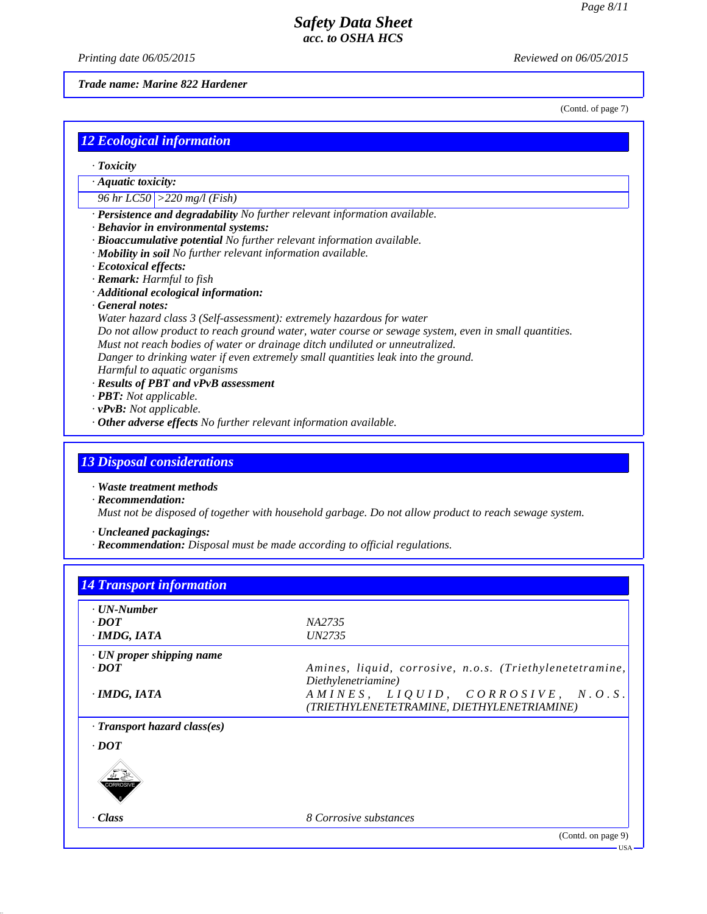*Printing date 06/05/2015 Reviewed on 06/05/2015*

#### *Trade name: Marine 822 Hardener*

(Contd. of page 7)

|  |  | <u>12 Ecological information</u> |  |
|--|--|----------------------------------|--|
|  |  |                                  |  |

- *· Toxicity*
- *· Aquatic toxicity:*
- *96 hr LC50 >220 mg/l (Fish)*
- *· Persistence and degradability No further relevant information available.*
- *· Behavior in environmental systems:*
- *· Bioaccumulative potential No further relevant information available.*
- *· Mobility in soil No further relevant information available.*
- *· Ecotoxical effects:*
- *· Remark: Harmful to fish*
- *· Additional ecological information:*
- *· General notes:*
- *Water hazard class 3 (Self-assessment): extremely hazardous for water Do not allow product to reach ground water, water course or sewage system, even in small quantities.*
- *Must not reach bodies of water or drainage ditch undiluted or unneutralized.*
- *Danger to drinking water if even extremely small quantities leak into the ground.*
- *Harmful to aquatic organisms*
- *· Results of PBT and vPvB assessment*
- *· PBT: Not applicable.*
- *· vPvB: Not applicable.*
- *· Other adverse effects No further relevant information available.*

#### *13 Disposal considerations*

*· Waste treatment methods*

*· Recommendation:*

*Must not be disposed of together with household garbage. Do not allow product to reach sewage system.*

- *· Uncleaned packagings:*
- *· Recommendation: Disposal must be made according to official regulations.*

| $\cdot$ UN-Number                  |                                                                                 |
|------------------------------------|---------------------------------------------------------------------------------|
| $\cdot$ <i>DOT</i>                 | NA2735                                                                          |
| $\cdot$ IMDG, IATA                 | UN2735                                                                          |
| $\cdot$ UN proper shipping name    |                                                                                 |
| $\cdot$ <i>DOT</i>                 | Amines, liquid, corrosive, n.o.s. (Triethylenetetramine,<br>Diethylenetriamine) |
| $\cdot$ IMDG, IATA                 | AMINES, LIQUID, CORROSIVE, N.O.S.<br>(TRIETHYLENETETRAMINE, DIETHYLENETRIAMINE) |
| $\cdot$ Transport hazard class(es) |                                                                                 |
| $\cdot$ DOT                        |                                                                                 |
| CORROSIN                           |                                                                                 |
| · Class                            | 8 Corrosive substances                                                          |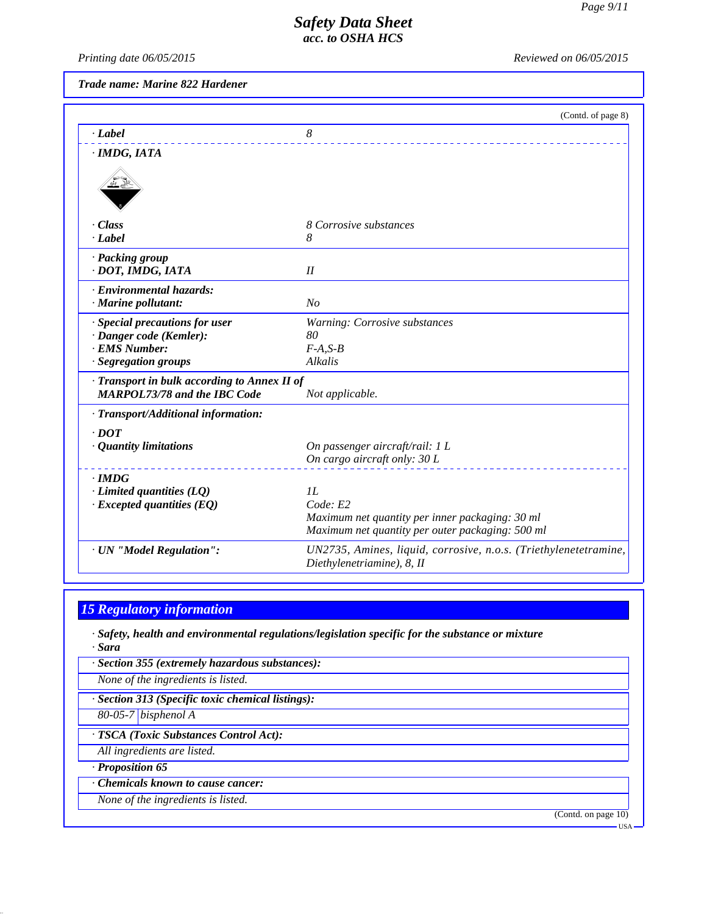*Printing date 06/05/2015 Reviewed on 06/05/2015*

*Trade name: Marine 822 Hardener*

|                                                                                     | (Contd. of page 8)                                               |
|-------------------------------------------------------------------------------------|------------------------------------------------------------------|
| $-Label$                                                                            | 8                                                                |
| · IMDG, IATA                                                                        |                                                                  |
|                                                                                     |                                                                  |
| · Class                                                                             | 8 Corrosive substances                                           |
| $-Label$                                                                            | 8                                                                |
| · Packing group                                                                     |                                                                  |
| · DOT, IMDG, IATA                                                                   | II                                                               |
| · Environmental hazards:                                                            |                                                                  |
| · Marine pollutant:                                                                 | N <sub>O</sub>                                                   |
| · Special precautions for user                                                      | Warning: Corrosive substances                                    |
| · Danger code (Kemler):<br>· EMS Number:                                            | 80                                                               |
| · Segregation groups                                                                | $F-A, S-B$<br>Alkalis                                            |
|                                                                                     |                                                                  |
| · Transport in bulk according to Annex II of<br><b>MARPOL73/78 and the IBC Code</b> | Not applicable.                                                  |
| · Transport/Additional information:                                                 |                                                                  |
| $\cdot$ DOT                                                                         |                                                                  |
| · Quantity limitations                                                              | On passenger aircraft/rail: 1 L                                  |
|                                                                                     | On cargo aircraft only: 30 L                                     |
| $\cdot$ IMDG                                                                        |                                                                  |
| $\cdot$ Limited quantities (LQ)                                                     | IL                                                               |
| $\cdot$ Excepted quantities (EQ)                                                    | Code: E2                                                         |
|                                                                                     | Maximum net quantity per inner packaging: 30 ml                  |
|                                                                                     | Maximum net quantity per outer packaging: 500 ml                 |
| · UN "Model Regulation":                                                            | UN2735, Amines, liquid, corrosive, n.o.s. (Triethylenetetramine, |
|                                                                                     | Diethylenetriamine), 8, II                                       |

# *15 Regulatory information*

*· Safety, health and environmental regulations/legislation specific for the substance or mixture · Sara*

| · Section 355 (extremely hazardous substances):   |
|---------------------------------------------------|
| None of the ingredients is listed.                |
| · Section 313 (Specific toxic chemical listings): |
| $80-05-7$ bisphenol A                             |
| · TSCA (Toxic Substances Control Act):            |
| All ingredients are listed.                       |
| $\cdot$ Proposition 65                            |

- *· Chemicals known to cause cancer:*
- *None of the ingredients is listed.*

(Contd. on page 10)

USA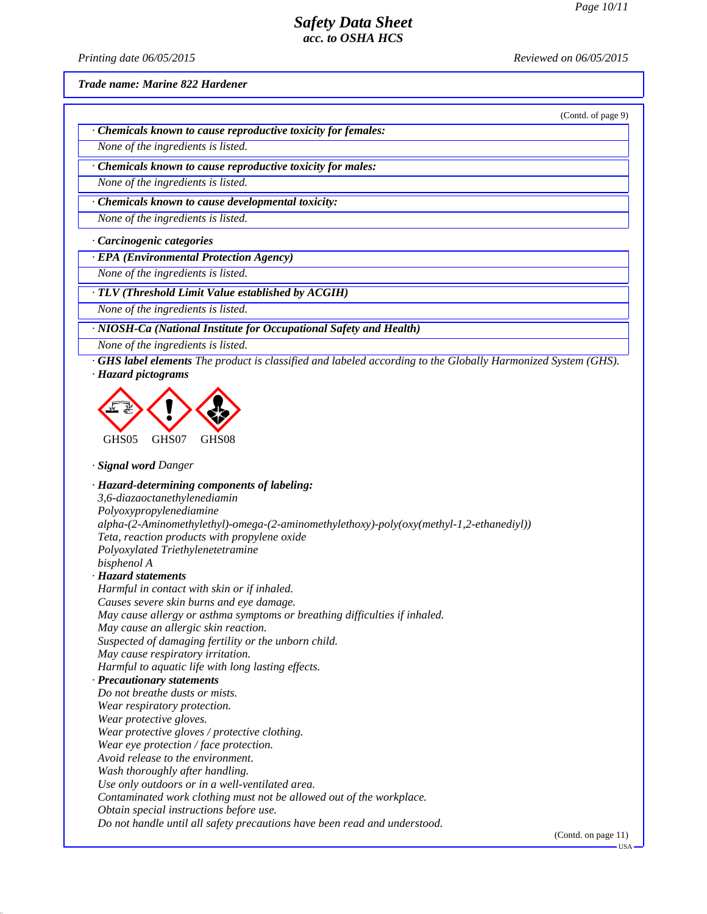(Contd. of page 9)

#### *Safety Data Sheet acc. to OSHA HCS*

*Printing date 06/05/2015 Reviewed on 06/05/2015*

*Trade name: Marine 822 Hardener*

*· Chemicals known to cause reproductive toxicity for females:*

*None of the ingredients is listed.*

*· Chemicals known to cause reproductive toxicity for males:*

*None of the ingredients is listed.*

*· Chemicals known to cause developmental toxicity:*

*None of the ingredients is listed.*

*· Carcinogenic categories*

*· EPA (Environmental Protection Agency)*

*None of the ingredients is listed.*

*· TLV (Threshold Limit Value established by ACGIH)*

*None of the ingredients is listed.*

*· NIOSH-Ca (National Institute for Occupational Safety and Health)*

*None of the ingredients is listed.*

*· GHS label elements The product is classified and labeled according to the Globally Harmonized System (GHS). · Hazard pictograms*



*· Signal word Danger*

*· Hazard-determining components of labeling: 3,6-diazaoctanethylenediamin Polyoxypropylenediamine alpha-(2-Aminomethylethyl)-omega-(2-aminomethylethoxy)-poly(oxy(methyl-1,2-ethanediyl)) Teta, reaction products with propylene oxide Polyoxylated Triethylenetetramine bisphenol A · Hazard statements Harmful in contact with skin or if inhaled. Causes severe skin burns and eye damage. May cause allergy or asthma symptoms or breathing difficulties if inhaled. May cause an allergic skin reaction. Suspected of damaging fertility or the unborn child. May cause respiratory irritation. Harmful to aquatic life with long lasting effects. · Precautionary statements Do not breathe dusts or mists. Wear respiratory protection. Wear protective gloves. Wear protective gloves / protective clothing. Wear eye protection / face protection. Avoid release to the environment. Wash thoroughly after handling. Use only outdoors or in a well-ventilated area. Contaminated work clothing must not be allowed out of the workplace. Obtain special instructions before use. Do not handle until all safety precautions have been read and understood.*

(Contd. on page 11)

USA